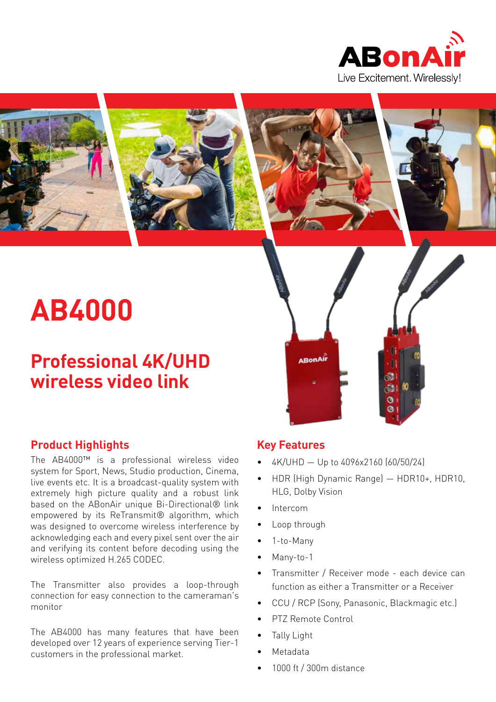



# **AB4000**

# **Professional 4K/UHD wireless video link**

# **Product Highlights**

The AB4000™ is a professional wireless video system for Sport, News, Studio production, Cinema, live events etc. It is a broadcast-quality system with extremely high picture quality and a robust link based on the ABonAir unique Bi-Directional® link empowered by its ReTransmit® algorithm, which was designed to overcome wireless interference by acknowledging each and every pixel sent over the air and verifying its content before decoding using the wireless optimized H.265 CODEC.

The Transmitter also provides a loop-through connection for easy connection to the cameraman's monitor

The AB4000 has many features that have been developed over 12 years of experience serving Tier-1 customers in the professional market.

# **Key Features**

**ABonAir** 

- 4K/UHD Up to 4096x2160 (60/50/24)
- HDR (High Dynamic Range) HDR10+, HDR10, HLG, Dolby Vision
- Intercom
- Loop through
- 1-to-Many
- Many-to-1
- Transmitter / Receiver mode each device can function as either a Transmitter or a Receiver
- CCU / RCP (Sony, Panasonic, Blackmagic etc.)
- PTZ Remote Control
- Tally Light
- Metadata
- 1000 ft / 300m distance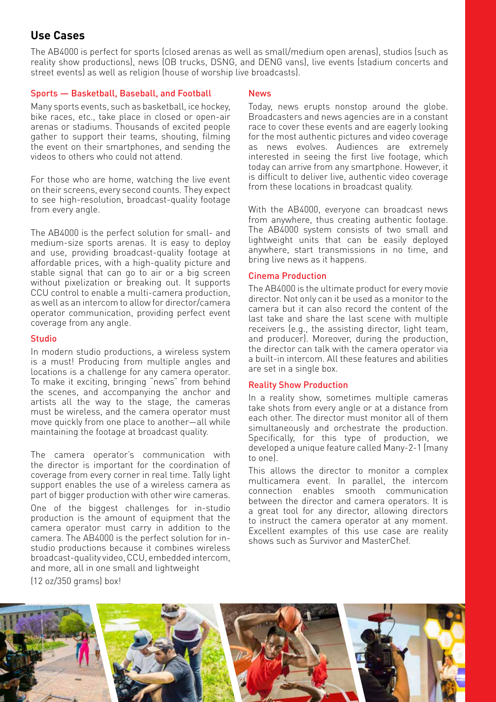# **Use Cases**

The AB4000 is perfect for sports (closed arenas as well as small/medium open arenas), studios (such as reality show productions), news (OB trucks, DSNG, and DENG vans), live events (stadium concerts and street events) as well as religion (house of worship live broadcasts).

#### Sports — Basketball, Baseball, and Football

Many sports events, such as basketball, ice hockey, bike races, etc., take place in closed or open-air arenas or stadiums. Thousands of excited people gather to support their teams, shouting, filming the event on their smartphones, and sending the videos to others who could not attend.

For those who are home, watching the live event on their screens, every second counts. They expect to see high-resolution, broadcast-quality footage from every angle.

The AB4000 is the perfect solution for small- and medium-size sports arenas. It is easy to deploy and use, providing broadcast-quality footage at affordable prices, with a high-quality picture and stable signal that can go to air or a big screen without pixelization or breaking out. It supports CCU control to enable a multi-camera production, as well as an intercom to allow for director/camera operator communication, providing perfect event coverage from any angle.

#### Studio

In modern studio productions, a wireless system is a must! Producing from multiple angles and locations is a challenge for any camera operator. To make it exciting, bringing "news" from behind the scenes, and accompanying the anchor and artists all the way to the stage, the cameras must be wireless, and the camera operator must move quickly from one place to another—all while maintaining the footage at broadcast quality.

The camera operator's communication with the director is important for the coordination of coverage from every corner in real time. Tally light support enables the use of a wireless camera as part of bigger production with other wire cameras.

One of the biggest challenges for in-studio production is the amount of equipment that the camera operator must carry in addition to the camera. The AB4000 is the perfect solution for instudio productions because it combines wireless broadcast-quality video, CCU, embedded intercom, and more, all in one small and lightweight

 $(12 oz/350 arams) box!$ 

#### News

Today, news erupts nonstop around the globe. Broadcasters and news agencies are in a constant race to cover these events and are eagerly looking for the most authentic pictures and video coverage as news evolves. Audiences are extremely interested in seeing the first live footage, which today can arrive from any smartphone. However, it is difficult to deliver live, authentic video coverage from these locations in broadcast quality.

With the AB4000, everyone can broadcast news from anywhere, thus creating authentic footage. The AB4000 system consists of two small and lightweight units that can be easily deployed anywhere, start transmissions in no time, and bring live news as it happens.

#### Cinema Production

The AB4000 is the ultimate product for every movie director. Not only can it be used as a monitor to the camera but it can also record the content of the last take and share the last scene with multiple receivers (e.g., the assisting director, light team, and producer). Moreover, during the production, the director can talk with the camera operator via a built-in intercom. All these features and abilities are set in a single box.

#### Reality Show Production

In a reality show, sometimes multiple cameras take shots from every angle or at a distance from each other. The director must monitor all of them simultaneously and orchestrate the production. Specifically, for this type of production, we developed a unique feature called Many-2-1 (many to one).

This allows the director to monitor a complex multicamera event. In parallel, the intercom connection enables smooth communication between the director and camera operators. It is a great tool for any director, allowing directors to instruct the camera operator at any moment. Excellent examples of this use case are reality shows such as Survivor and MasterChef.

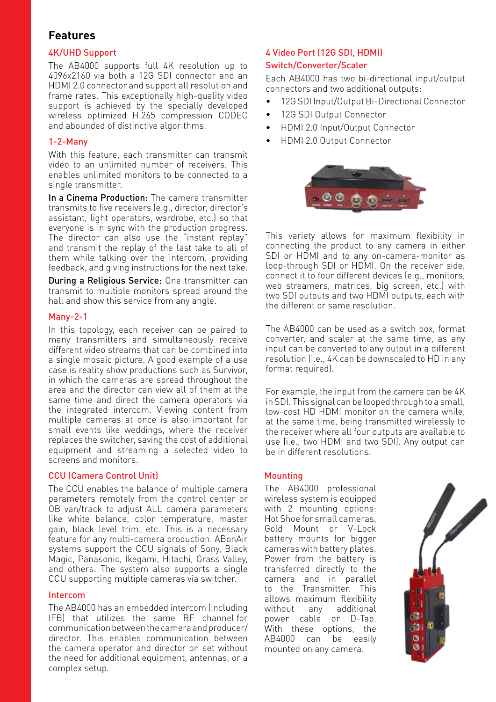### **Features**

#### 4K/UHD Support

The AB4000 supports full 4K resolution up to 4096x2160 via both a 12G SDI connector and an HDMI 2.0 connector and support all resolution and frame rates. This exceptionally high-quality video support is achieved by the specially developed wireless optimized H.265 compression CODEC and abounded of distinctive algorithms.

#### 1-2-Many

With this feature, each transmitter can transmit video to an unlimited number of receivers. This enables unlimited monitors to be connected to a single transmitter.

In a Cinema Production: The camera transmitter transmits to five receivers (e.g., director, director's assistant, light operators, wardrobe, etc.) so that everyone is in sync with the production progress. The director can also use the "instant replay" and transmit the replay of the last take to all of them while talking over the intercom, providing feedback, and giving instructions for the next take.

During a Religious Service: One transmitter can transmit to multiple monitors spread around the hall and show this service from any angle.

#### Many-2-1

In this topology, each receiver can be paired to many transmitters and simultaneously receive different video streams that can be combined into a single mosaic picture. A good example of a use case is reality show productions such as Survivor, in which the cameras are spread throughout the area and the director can view all of them at the same time and direct the camera operators via the integrated intercom. Viewing content from multiple cameras at once is also important for small events like weddings, where the receiver replaces the switcher, saving the cost of additional equipment and streaming a selected video to screens and monitors.

#### CCU (Camera Control Unit)

The CCU enables the balance of multiple camera parameters remotely from the control center or OB van/track to adjust ALL camera parameters like white balance, color temperature, master gain, black level trim, etc. This is a necessary feature for any multi-camera production. ABonAir systems support the CCU signals of Sony, Black Magic, Panasonic, Ikegami, Hitachi, Grass Valley, and others. The system also supports a single CCU supporting multiple cameras via switcher.

#### Intercom

The AB4000 has an embedded intercom (including IFB) that utilizes the same RF channel for communication between the camera and producer/ director. This enables communication between the camera operator and director on set without the need for additional equipment, antennas, or a complex setup.

#### 4 Video Port (12G SDI, HDMI) Switch/Converter/Scaler

Each AB4000 has two bi-directional input/output connectors and two additional outputs:

- 12G SDI Input/Output Bi-Directional Connector
- 12G SDI Output Connector
- HDMI 2.0 Input/Output Connector
- HDMI 2.0 Output Connector



This variety allows for maximum flexibility in connecting the product to any camera in either SDI or HDMI and to any on-camera-monitor as loop-through SDI or HDMI. On the receiver side, connect it to four different devices (e.g., monitors, web streamers, matrices, big screen, etc.) with two SDI outputs and two HDMI outputs, each with the different or same resolution.

The AB4000 can be used as a switch box, format converter, and scaler at the same time, as any input can be converted to any output in a different resolution (i.e., 4K can be downscaled to HD in any format required).

For example, the input from the camera can be 4K in SDI. This signal can be looped through to a small, low-cost HD HDMI monitor on the camera while, at the same time, being transmitted wirelessly to the receiver where all four outputs are available to use (i.e., two HDMI and two SDI). Any output can be in different resolutions.

#### Mounting

The AB4000 professional wireless system is equipped with 2 mounting options: Hot Shoe for small cameras, Gold Mount or V-Lock battery mounts for bigger cameras with battery plates. Power from the battery is transferred directly to the camera and in parallel to the Transmitter. This allows maximum flexibility without any additional power cable or D-Tap. With these options, the AB4000 can be easily mounted on any camera.